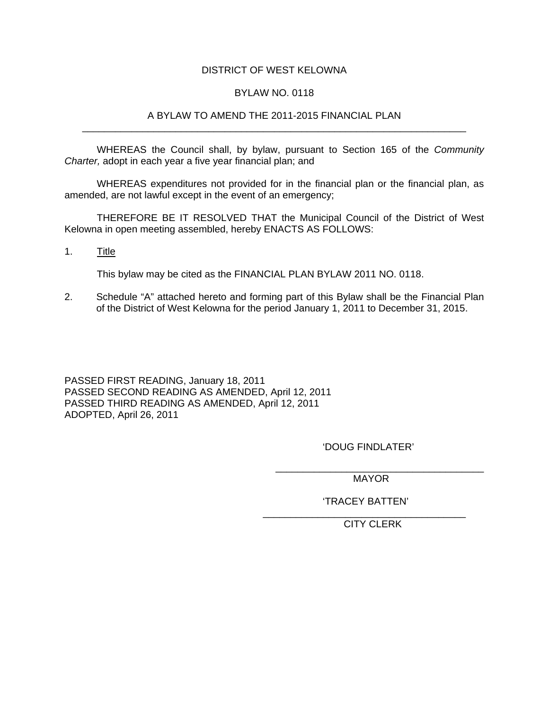## DISTRICT OF WEST KELOWNA

## BYLAW NO. 0118

#### A BYLAW TO AMEND THE 2011-2015 FINANCIAL PLAN \_\_\_\_\_\_\_\_\_\_\_\_\_\_\_\_\_\_\_\_\_\_\_\_\_\_\_\_\_\_\_\_\_\_\_\_\_\_\_\_\_\_\_\_\_\_\_\_\_\_\_\_\_\_\_\_\_\_\_\_\_\_\_\_\_\_\_\_\_\_

WHEREAS the Council shall, by bylaw, pursuant to Section 165 of the *Community Charter,* adopt in each year a five year financial plan; and

WHEREAS expenditures not provided for in the financial plan or the financial plan, as amended, are not lawful except in the event of an emergency;

 THEREFORE BE IT RESOLVED THAT the Municipal Council of the District of West Kelowna in open meeting assembled, hereby ENACTS AS FOLLOWS:

1. Title

This bylaw may be cited as the FINANCIAL PLAN BYLAW 2011 NO. 0118.

2. Schedule "A" attached hereto and forming part of this Bylaw shall be the Financial Plan of the District of West Kelowna for the period January 1, 2011 to December 31, 2015.

PASSED FIRST READING, January 18, 2011 PASSED SECOND READING AS AMENDED, April 12, 2011 PASSED THIRD READING AS AMENDED, April 12, 2011 ADOPTED, April 26, 2011

'DOUG FINDLATER'

\_\_\_\_\_\_\_\_\_\_\_\_\_\_\_\_\_\_\_\_\_\_\_\_\_\_\_\_\_\_\_\_\_\_\_\_\_\_ MAYOR

'TRACEY BATTEN'

 \_\_\_\_\_\_\_\_\_\_\_\_\_\_\_\_\_\_\_\_\_\_\_\_\_\_\_\_\_\_\_\_\_\_\_\_\_ CITY CLERK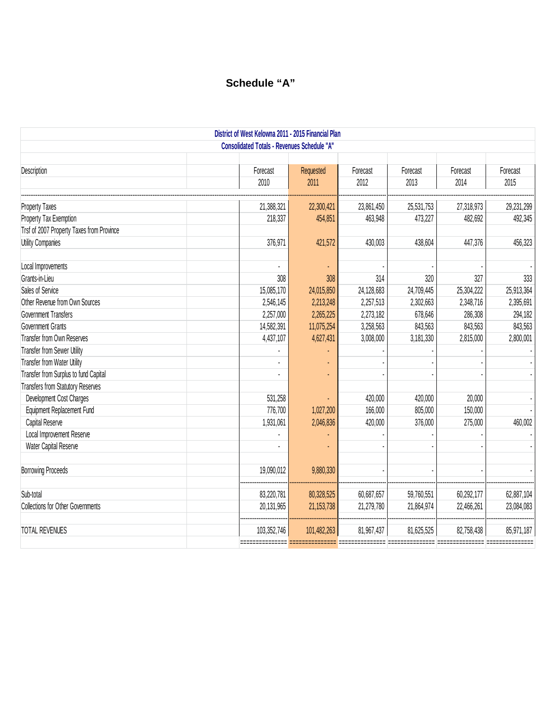# **Schedule "A"**

| District of West Kelowna 2011 - 2015 Financial Plan |            |                                                    |              |            |            |            |            |
|-----------------------------------------------------|------------|----------------------------------------------------|--------------|------------|------------|------------|------------|
|                                                     |            | <b>Consolidated Totals - Revenues Schedule "A'</b> |              |            |            |            |            |
|                                                     |            |                                                    |              |            |            |            |            |
| Description                                         |            | Forecast                                           | Requested    | Forecast   | Forecast   | Forecast   | Forecast   |
|                                                     |            | 2010                                               | 2011         | 2012       | 2013       | 2014       | 2015       |
| Property Taxes                                      | 21,388,321 | 22,300,421                                         | 23,861,450   | 25,531,753 | 27,318,973 | 29,231,299 |            |
| Property Tax Exemption                              |            | 218,337                                            | 454,851      | 463,948    | 473,227    | 482,692    | 492,345    |
| Trsf of 2007 Property Taxes from Province           |            |                                                    |              |            |            |            |            |
| <b>Utility Companies</b>                            |            | 376,971                                            | 421,572      | 430,003    | 438,604    | 447,376    | 456,323    |
|                                                     |            |                                                    |              |            |            |            |            |
| Local Improvements                                  |            |                                                    |              |            |            |            |            |
| Grants-in-Lieu                                      |            | 308                                                | 308          | 314        | 320        | 327        | 333        |
| Sales of Service                                    |            | 15,085,170                                         | 24,015,850   | 24,128,683 | 24,709,445 | 25,304,222 | 25,913,364 |
| Other Revenue from Own Sources                      |            | 2,546,145                                          | 2,213,248    | 2,257,513  | 2,302,663  | 2,348,716  | 2,395,691  |
| <b>Government Transfers</b>                         |            | 2,257,000                                          | 2,265,225    | 2,273,182  | 678,646    | 286,308    | 294,182    |
| <b>Government Grants</b>                            |            | 14,582,391                                         | 11,075,254   | 3,258,563  | 843,563    | 843,563    | 843,563    |
| Transfer from Own Reserves                          |            | 4,437,107                                          | 4,627,431    | 3,008,000  | 3,181,330  | 2,815,000  | 2,800,001  |
| Transfer from Sewer Utility                         |            |                                                    |              |            |            |            |            |
| Transfer from Water Utility                         |            |                                                    |              |            |            |            |            |
| Transfer from Surplus to fund Capital               |            |                                                    |              |            |            |            |            |
| <b>Transfers from Statutory Reserves</b>            |            |                                                    |              |            |            |            |            |
| Development Cost Charges                            |            | 531,258                                            |              | 420,000    | 420,000    | 20,000     |            |
| Equipment Replacement Fund                          |            | 776,700                                            | 1,027,200    | 166,000    | 805,000    | 150,000    |            |
| Capital Reserve                                     |            | 1,931,061                                          | 2,046,836    | 420,000    | 376,000    | 275,000    | 460,002    |
| Local Improvement Reserve                           |            |                                                    |              |            |            |            |            |
| Water Capital Reserve                               |            |                                                    |              |            |            |            |            |
| <b>Borrowing Proceeds</b>                           |            | 19,090,012                                         | 9,880,330    |            |            |            |            |
|                                                     |            |                                                    |              |            |            |            |            |
| Sub-total                                           |            | 83,220,781                                         | 80,328,525   | 60,687,657 | 59,760,551 | 60,292,177 | 62,887,104 |
| <b>Collections for Other Governments</b>            |            | 20,131,965                                         | 21, 153, 738 | 21,279,780 | 21,864,974 | 22,466,261 | 23,084,083 |
| <b>TOTAL REVENUES</b>                               |            | 103,352,746                                        | 101,482,263  | 81,967,437 | 81,625,525 | 82,758,438 | 85,971,187 |
|                                                     |            | =========                                          |              |            |            |            |            |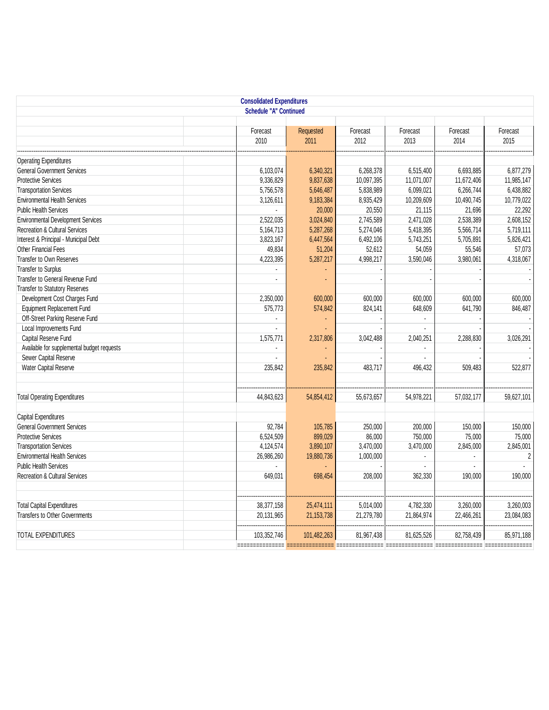|                                            | <b>Consolidated Expenditures</b> |                            |                         |                         |                         |                         |
|--------------------------------------------|----------------------------------|----------------------------|-------------------------|-------------------------|-------------------------|-------------------------|
|                                            | <b>Schedule "A" Continued</b>    |                            |                         |                         |                         |                         |
|                                            |                                  |                            |                         |                         |                         |                         |
|                                            | Forecast                         | Requested                  | Forecast                | Forecast                | Forecast                | Forecast                |
|                                            | 2010                             | 2011                       | 2012                    | 2013                    | 2014                    | 2015                    |
|                                            |                                  |                            |                         |                         |                         |                         |
| <b>Operating Expenditures</b>              |                                  |                            |                         |                         |                         |                         |
| <b>General Government Services</b>         | 6,103,074                        | 6,340,321                  | 6,268,378               | 6,515,400               | 6,693,885               | 6,877,279               |
| <b>Protective Services</b>                 | 9,336,829                        | 9,837,638                  | 10,097,395              | 11,071,007              | 11,672,406              | 11.985.147              |
| <b>Transportation Services</b>             | 5,756,578                        | 5,646,487                  | 5,838,989               | 6,099,021               | 6,266,744               | 6,438,882               |
| <b>Environmental Health Services</b>       | 3,126,611                        | 9,183,384                  | 8,935,429               | 10,209,609              | 10,490,745              | 10,779,022              |
| <b>Public Health Services</b>              | $\mathbf{r}$                     | 20,000                     | 20,550                  | 21,115                  | 21,696                  | 22,292                  |
| <b>Environmental Development Services</b>  | 2,522,035                        | 3,024,840                  | 2,745,589               | 2,471,028               | 2,538,389               | 2,608,152               |
| <b>Recreation &amp; Cultural Services</b>  | 5,164,713                        | 5,287,268                  | 5,274,046               | 5,418,395               | 5,566,714               | 5,719,111               |
| Interest & Principal - Municipal Debt      | 3,823,167                        | 6,447,564                  | 6,492,106               | 5,743,251               | 5,705,891               | 5,826,421               |
| <b>Other Financial Fees</b>                | 49,834                           | 51,204                     | 52,612                  | 54,059                  | 55,546                  | 57,073                  |
| <b>Transfer to Own Reserves</b>            | 4,223,395                        | 5,287,217                  | 4,998,217               | 3,590,046               | 3,980,061               | 4,318,067               |
| Transfer to Surplus                        |                                  |                            |                         |                         |                         |                         |
| Transfer to General Revenue Fund           |                                  |                            |                         |                         |                         | $\mathcal{L}$           |
| Transfer to Statutory Reserves             |                                  |                            |                         |                         |                         |                         |
| Development Cost Charges Fund              | 2,350,000                        | 600,000                    | 600,000                 | 600,000                 | 600,000                 | 600,000                 |
| Equipment Replacement Fund                 | 575,773                          | 574,842                    | 824,141                 | 648,609                 | 641,790                 | 846,487                 |
| Off-Street Parking Reserve Fund            |                                  |                            |                         |                         |                         |                         |
| Local Improvements Fund                    |                                  |                            |                         | $\blacksquare$          |                         |                         |
| Capital Reserve Fund                       | 1,575,771                        | 2,317,806                  | 3,042,488               | 2,040,251               | 2,288,830               | 3,026,291               |
| Available for supplemental budget requests |                                  |                            |                         |                         |                         |                         |
| Sewer Capital Reserve                      |                                  |                            |                         | ÷.                      |                         |                         |
| Water Capital Reserve                      | 235,842                          | 235,842                    | 483.717                 | 496.432                 | 509,483                 | 522,877                 |
|                                            |                                  |                            |                         |                         |                         |                         |
|                                            |                                  |                            |                         |                         |                         |                         |
| <b>Total Operating Expenditures</b>        | 44,843,623                       | 54,854,412                 | 55,673,657              | 54,978,221              | 57,032,177              | 59,627,101              |
| Capital Expenditures                       |                                  |                            |                         |                         |                         |                         |
| <b>General Government Services</b>         | 92,784                           | 105,785                    | 250,000                 | 200,000                 | 150,000                 | 150,000                 |
| <b>Protective Services</b>                 | 6,524,509                        | 899,029                    | 86,000                  | 750,000                 | 75,000                  | 75,000                  |
| <b>Transportation Services</b>             | 4,124,574                        | 3,890,107                  | 3,470,000               | 3,470,000               | 2,845,000               | 2,845,001               |
| <b>Environmental Health Services</b>       | 26,986,260                       | 19,880,736                 | 1,000,000               | $\blacksquare$          | ÷,                      | $\overline{2}$          |
| <b>Public Health Services</b>              |                                  |                            |                         |                         |                         |                         |
| <b>Recreation &amp; Cultural Services</b>  | 649,031                          | 698,454                    | 208,000                 | 362,330                 | 190,000                 | 190,000                 |
|                                            |                                  |                            |                         |                         |                         |                         |
| <b>Total Capital Expenditures</b>          |                                  |                            |                         |                         |                         |                         |
| Transfers to Other Governments             | 38,377,158                       | 25,474,111<br>21, 153, 738 | 5,014,000<br>21,279,780 | 4,782,330<br>21,864,974 | 3,260,000<br>22,466,261 | 3,260,003<br>23,084,083 |
|                                            | 20,131,965                       |                            |                         |                         |                         |                         |
| <b>TOTAL EXPENDITURES</b>                  | 103,352,746                      | 101,482,263                | 81,967,438              | 81,625,526              | 82,758,439              | 85,971,188              |
|                                            | ==========                       |                            |                         |                         |                         |                         |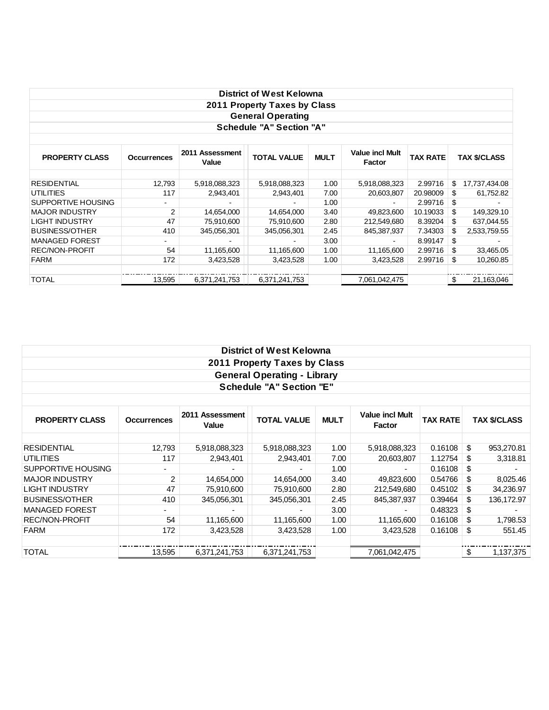| <b>District of West Kelowna</b> |                          |                          |                                 |             |                                  |                 |                     |  |
|---------------------------------|--------------------------|--------------------------|---------------------------------|-------------|----------------------------------|-----------------|---------------------|--|
| 2011 Property Taxes by Class    |                          |                          |                                 |             |                                  |                 |                     |  |
| <b>General Operating</b>        |                          |                          |                                 |             |                                  |                 |                     |  |
|                                 |                          |                          | <b>Schedule "A" Section "A"</b> |             |                                  |                 |                     |  |
|                                 |                          |                          |                                 |             |                                  |                 |                     |  |
| <b>PROPERTY CLASS</b>           | <b>Occurrences</b>       | 2011 Assessment<br>Value | <b>TOTAL VALUE</b>              | <b>MULT</b> | <b>Value incl Mult</b><br>Factor | <b>TAX RATE</b> | <b>TAX \$/CLASS</b> |  |
|                                 |                          |                          |                                 |             |                                  |                 |                     |  |
| <b>RESIDENTIAL</b>              | 12,793                   | 5,918,088,323            | 5,918,088,323                   | 1.00        | 5,918,088,323                    | 2.99716         | \$<br>17,737,434.08 |  |
| UTILITIES                       | 117                      | 2,943,401                | 2,943,401                       | 7.00        | 20,603,807                       | 20.98009        | \$<br>61,752.82     |  |
| SUPPORTIVE HOUSING              | $\blacksquare$           |                          |                                 | 1.00        | $\blacksquare$                   | 2.99716         | \$                  |  |
| <b>MAJOR INDUSTRY</b>           | 2                        | 14,654,000               | 14,654,000                      | 3.40        | 49,823,600                       | 10.19033        | \$<br>149,329.10    |  |
| <b>LIGHT INDUSTRY</b>           | 47                       | 75,910,600               | 75,910,600                      | 2.80        | 212,549,680                      | 8.39204         | \$<br>637,044.55    |  |
| <b>BUSINESS/OTHER</b>           | 410                      | 345,056,301              | 345,056,301                     | 2.45        | 845,387,937                      | 7.34303         | \$.<br>2,533,759.55 |  |
| <b>MANAGED FOREST</b>           | $\overline{\phantom{0}}$ | $\overline{\phantom{a}}$ | $\blacksquare$                  | 3.00        | ۰                                | 8.99147         | \$                  |  |
| <b>REC/NON-PROFIT</b>           | 54                       | 11,165,600               | 11,165,600                      | 1.00        | 11,165,600                       | 2.99716         | \$<br>33,465.05     |  |
| <b>FARM</b>                     | 172                      | 3,423,528                | 3,423,528                       | 1.00        | 3,423,528                        | 2.99716         | \$<br>10,260.85     |  |
| <b>TOTAL</b>                    | 13,595                   | 6,371,241,753            | 6.371.241.753                   |             | 7,061,042,475                    |                 | \$<br>21,163,046    |  |

| District of West Kelowna     |                    |                          |                                    |             |                                         |                 |                     |
|------------------------------|--------------------|--------------------------|------------------------------------|-------------|-----------------------------------------|-----------------|---------------------|
| 2011 Property Taxes by Class |                    |                          |                                    |             |                                         |                 |                     |
|                              |                    |                          | <b>General Operating - Library</b> |             |                                         |                 |                     |
|                              |                    |                          | <b>Schedule "A" Section "E"</b>    |             |                                         |                 |                     |
|                              |                    |                          |                                    |             |                                         |                 |                     |
| <b>PROPERTY CLASS</b>        | <b>Occurrences</b> | 2011 Assessment<br>Value | <b>TOTAL VALUE</b>                 | <b>MULT</b> | <b>Value incl Mult</b><br><b>Factor</b> | <b>TAX RATE</b> | <b>TAX \$/CLASS</b> |
|                              |                    |                          |                                    |             |                                         |                 |                     |
| <b>RESIDENTIAL</b>           | 12,793             | 5,918,088,323            | 5,918,088,323                      | 1.00        | 5,918,088,323                           | 0.16108         | \$<br>953,270.81    |
| <b>UTILITIES</b>             | 117                | 2,943,401                | 2,943,401                          | 7.00        | 20,603,807                              | 1.12754         | \$<br>3,318.81      |
| <b>SUPPORTIVE HOUSING</b>    |                    |                          |                                    | 1.00        | ۰                                       | 0.16108         | \$                  |
| <b>MAJOR INDUSTRY</b>        | 2                  | 14,654,000               | 14,654,000                         | 3.40        | 49,823,600                              | 0.54766         | \$<br>8,025.46      |
| <b>LIGHT INDUSTRY</b>        | 47                 | 75,910,600               | 75,910,600                         | 2.80        | 212,549,680                             | 0.45102         | \$<br>34,236.97     |
| <b>BUSINESS/OTHER</b>        | 410                | 345,056,301              | 345,056,301                        | 2.45        | 845,387,937                             | 0.39464         | \$<br>136,172.97    |
| <b>MANAGED FOREST</b>        |                    |                          |                                    | 3.00        | ٠                                       | 0.48323         | \$                  |
| <b>REC/NON-PROFIT</b>        | 54                 | 11,165,600               | 11,165,600                         | 1.00        | 11,165,600                              | 0.16108         | \$<br>1,798.53      |
| <b>FARM</b>                  | 172                | 3,423,528                | 3,423,528                          | 1.00        | 3,423,528                               | 0.16108         | \$<br>551.45        |
| <b>TOTAL</b>                 | 13,595             | 6,371,241,753            | 6,371,241,753                      |             | 7,061,042,475                           |                 | \$<br>1,137,375     |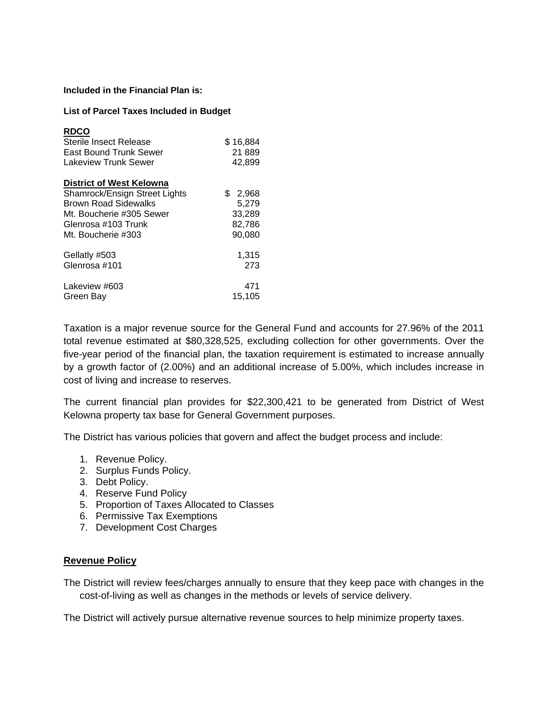#### **Included in the Financial Plan is:**

#### **List of Parcel Taxes Included in Budget**

| <b>RDCO</b><br>Sterile Insect Release<br>East Bound Trunk Sewer<br>Lakeview Trunk Sewer | \$16,884<br>21889<br>42,899 |
|-----------------------------------------------------------------------------------------|-----------------------------|
| <b>District of West Kelowna</b>                                                         |                             |
| Shamrock/Ensign Street Lights                                                           | \$2,968                     |
| <b>Brown Road Sidewalks</b>                                                             | 5,279                       |
| Mt. Boucherie #305 Sewer                                                                | 33,289                      |
| Glenrosa #103 Trunk                                                                     | 82,786                      |
| Mt. Boucherie #303                                                                      | 90,080                      |
| Gellatly #503                                                                           | 1,315                       |
| Glenrosa #101                                                                           | 273                         |
| Lakeview #603                                                                           | 471                         |
| Green Bay                                                                               | 15.105                      |

Taxation is a major revenue source for the General Fund and accounts for 27.96% of the 2011 total revenue estimated at \$80,328,525, excluding collection for other governments. Over the five-year period of the financial plan, the taxation requirement is estimated to increase annually by a growth factor of (2.00%) and an additional increase of 5.00%, which includes increase in cost of living and increase to reserves.

The current financial plan provides for \$22,300,421 to be generated from District of West Kelowna property tax base for General Government purposes.

The District has various policies that govern and affect the budget process and include:

- 1. Revenue Policy.
- 2. Surplus Funds Policy.
- 3. Debt Policy.
- 4. Reserve Fund Policy
- 5. Proportion of Taxes Allocated to Classes
- 6. Permissive Tax Exemptions
- 7. Development Cost Charges

#### **Revenue Policy**

The District will review fees/charges annually to ensure that they keep pace with changes in the cost-of-living as well as changes in the methods or levels of service delivery.

The District will actively pursue alternative revenue sources to help minimize property taxes.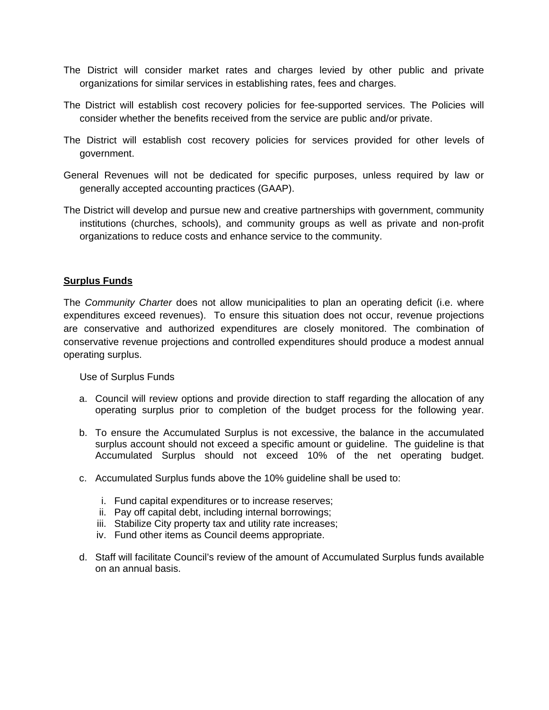- The District will consider market rates and charges levied by other public and private organizations for similar services in establishing rates, fees and charges.
- The District will establish cost recovery policies for fee-supported services. The Policies will consider whether the benefits received from the service are public and/or private.
- The District will establish cost recovery policies for services provided for other levels of government.
- General Revenues will not be dedicated for specific purposes, unless required by law or generally accepted accounting practices (GAAP).
- The District will develop and pursue new and creative partnerships with government, community institutions (churches, schools), and community groups as well as private and non-profit organizations to reduce costs and enhance service to the community.

## **Surplus Funds**

The *Community Charter* does not allow municipalities to plan an operating deficit (i.e. where expenditures exceed revenues). To ensure this situation does not occur, revenue projections are conservative and authorized expenditures are closely monitored. The combination of conservative revenue projections and controlled expenditures should produce a modest annual operating surplus.

Use of Surplus Funds

- a. Council will review options and provide direction to staff regarding the allocation of any operating surplus prior to completion of the budget process for the following year.
- b. To ensure the Accumulated Surplus is not excessive, the balance in the accumulated surplus account should not exceed a specific amount or guideline. The guideline is that Accumulated Surplus should not exceed 10% of the net operating budget.
- c. Accumulated Surplus funds above the 10% guideline shall be used to:
	- i. Fund capital expenditures or to increase reserves;
	- ii. Pay off capital debt, including internal borrowings;
	- iii. Stabilize City property tax and utility rate increases;
	- iv. Fund other items as Council deems appropriate.
- d. Staff will facilitate Council's review of the amount of Accumulated Surplus funds available on an annual basis.